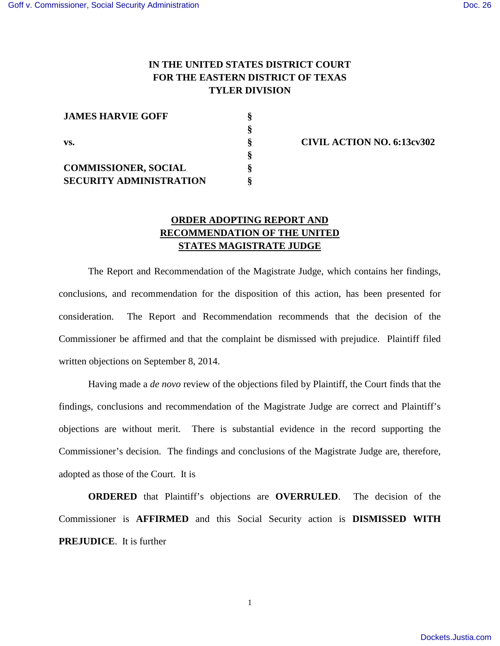## **IN THE UNITED STATES DISTRICT COURT FOR THE EASTERN DISTRICT OF TEXAS TYLER DIVISION**

| <b>JAMES HARVIE GOFF</b>       |  |
|--------------------------------|--|
|                                |  |
| VS.                            |  |
|                                |  |
| <b>COMMISSIONER, SOCIAL</b>    |  |
| <b>SECURITY ADMINISTRATION</b> |  |

**§ CIVIL ACTION NO. 6:13cv302** 

## **ORDER ADOPTING REPORT AND RECOMMENDATION OF THE UNITED STATES MAGISTRATE JUDGE**

The Report and Recommendation of the Magistrate Judge, which contains her findings, conclusions, and recommendation for the disposition of this action, has been presented for consideration. The Report and Recommendation recommends that the decision of the Commissioner be affirmed and that the complaint be dismissed with prejudice. Plaintiff filed written objections on September 8, 2014.

Having made a *de novo* review of the objections filed by Plaintiff, the Court finds that the findings, conclusions and recommendation of the Magistrate Judge are correct and Plaintiff's objections are without merit. There is substantial evidence in the record supporting the Commissioner's decision. The findings and conclusions of the Magistrate Judge are, therefore, adopted as those of the Court. It is

**ORDERED** that Plaintiff's objections are **OVERRULED**. The decision of the Commissioner is **AFFIRMED** and this Social Security action is **DISMISSED WITH PREJUDICE**. It is further